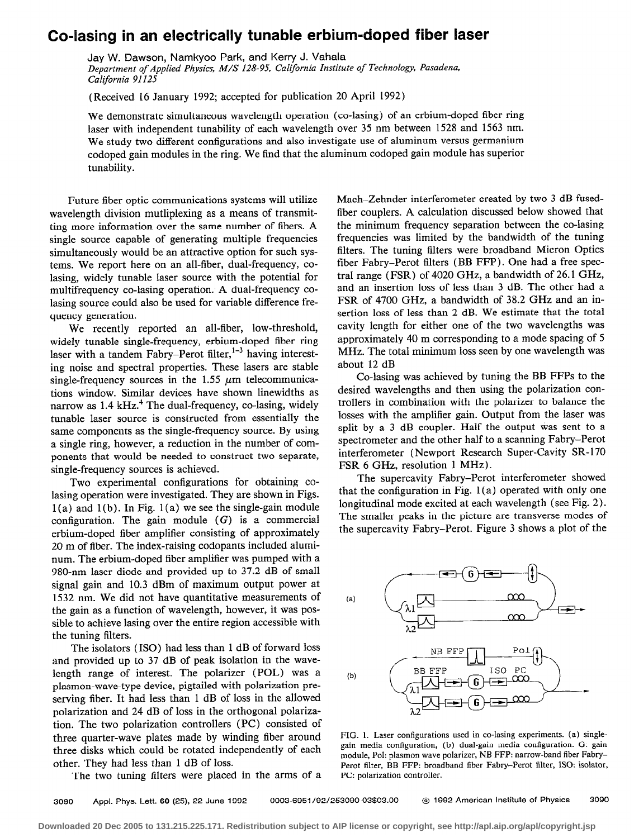## Co-lasing in an electrically tunable erbium-doped fiber laser

Jay W. Dawson, Namkyoo Park, and Kerry J. Vahala Department of Applied Physics, M/S 128-95, California Institute of Technology, Pasadena, California 91125

(Received 16 January 1992; accepted for publication 20 April 1992)

We demonstrate simultaneous wavelength operation (co-lasing) of an erbium-doped fiber ring laser with independent tunability of each wavelength over 35 nm between 1528 and 1563 nm. We study two different configurations and also investigate use of aluminum versus germanium codoped gain modules in the ring. We find that the aluminum codoped gain module has superior tunability.

Future fiber optic communications systems will utilize wavelength division mutliplexing as a means of transmitting more information over the same number of fibers. A single source capable of generating multiple frequencies simultaneously would be an attractive option for such systems. We report here on an all-fiber, dual-frequency, colasing, widely tunable laser source with the potential for multifrequency co-lasing operation. A dual-frequency colasing source could also be used for variable difference frequency generation.

We recently reported an all-fiber, low-threshold, widely tunable single-frequency, erbium-doped fiber ring laser with a tandem Fabry-Perot filter,<sup>1-3</sup> having interesting noise and spectral properties. These lasers are stable single-frequency sources in the 1.55  $\mu$ m telecommunications window. Similar devices have shown linewidths as narrow as 1.4 kHz.<sup>4</sup> The dual-frequency, co-lasing, widely tunable laser source is constructed from essentially the same components as the single-frequency source. By using a single ring, however, a reduction in the number of components that would be needed to construct two separate, single-frequency sources is achieved.

Two experimental configurations for obtaining colasing operation were investigated. They are shown in Figs.  $1(a)$  and  $1(b)$ . In Fig.  $1(a)$  we see the single-gain module configuration. The gain module  $(G)$  is a commercial erbium-doped fiber amplifier consisting of approximately 20 m of fiber. The index-raising codopants included aluminum. The erbium-doped fiber amplifier was pumped with a 980-nm laser diode and provided up to 37.2 dB of small signal gain and 10.3 dBm of maximum output power at 1532 nm. We did not have quantitative measurements of the gain as a function of wavelength, however, it was possible to achieve lasing over the entire region accessible with the tuning filters.

The isolators (ISO) had less than 1 dB of forward loss and provided up to 37 dB of peak isolation in the wavelength range of interest. The polarizer (POL) was a plasmon-wave-type device, pigtailed with polarization preserving fiber. It had less than 1 dB of loss in the allowed polarization and 24 dB of loss in the orthogonal polarization. The two polarization controllers (PC) consisted of three quarter-wave plates made by winding fiber around three disks which could be rotated independently of each other. They had less than 1 dB of loss.

The two tuning filters were placed in the arms of a

Mach-Zehnder interferometer created by two 3 dB fusedfiber couplers. A calculation discussed below showed that the minimum frequency separation between the co-lasing frequencies was limited by the bandwidth of the tuning filters. The tuning filters were broadband Micron Optics fiber Fabry-Perot filters (BB FFP) . One had a free spectra1 range (FSR) of 4020 GHz, a bandwidth of 26.1 GHz, and an insertion loss of less than 3 dB. The other had a FSR of 4700 GHz, a bandwidth of 38.2 GHz and an insertion loss of less than 2 dB. We estimate that the total cavity length for either one of the two wavelengths was approximately 40 m corresponding to a mode spacing of 5 MHz. The total minimum loss seen by one wavelength was about 12 dB

Co-lasing was achieved by tuning the BB FFPs to the desired wavelengths and then using the polarization controllers in combination with the polarizer to balance the losses with the amplifier gain. Output from the laser was split by a 3 dB coupler. Half the output was sent to a spectrometer and the other half to a scanning Fabry-Perot interferometer (Newport Research Super-Cavity SR-170) FSR 6 GHz, resolution 1 MHz).

The supercavity Fabry-Perot interferometer showed that the configuration in Fig.  $1(a)$  operated with only one longitudinal mode excited at each wavelength (see Fig. 2). The smaller peaks in the picture are transverse modes of the supercavity Fabry-Perot. Figure 3 shows a plot of the



FIG. 1. Laser configurations used in co-lasing experiments. (a) singlegain media configuration, (b) dual-gain media configuration. G: gain module, Pol: plasmon wave polarizer, NB FFP: narrow-band fiber Fabry-Perot filter, BB FFP: broadband fiber Fabry-Perot filter, ISO: isolator, PC: polarization controller.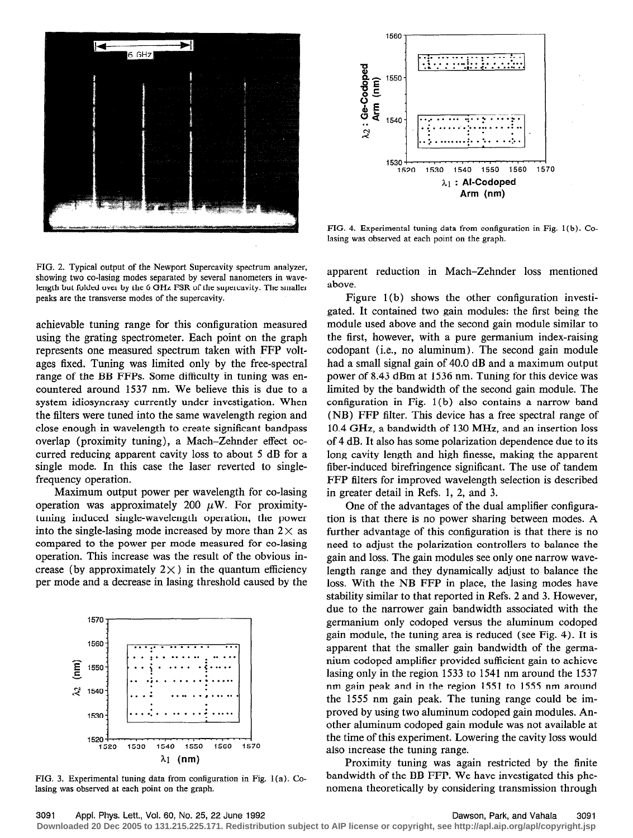



FIG. 4. Experimental tuning data from configuration in Fig. 1(b). Colasing was observed at each point on the graph.

FIG. 2. Typical output of the Newport Supercavity spectrum analyzer, showing two co-lasing modes separated by several nanometers in wavelength but folded over by the 6 GHz FSR of the supercavity. The smaller peaks are the transverse modes of the supercavity.

achievable tuning range for this configuration measured using the grating spectrometer. Each point on the graph represents one measured spectrum taken with FFP voltages fixed. Tuning was limited only by the free-spectral range of the BB FFPs. Some difficulty in tuning was encountered around 1537 nm. We believe this is due to a system idiosyncrasy currently under investigation. When the filters were tuned into the same wavelength region and close enough in wavelength to create significant bandpass overlap (proximity tuning), a Mach-Zehnder effect occurred reducing apparent cavity loss to about 5 dB for a single mode. In this case the laser reverted to singlefrequency operation.

Maximum output power per wavelength for co-lasing operation was approximately 200  $\mu$ W. For proximitytuning induced single-wavelength operation, the power into the single-lasing mode increased by more than  $2 \times$  as compared to the power per mode measured for co-lasing operation. This increase was the result of the obvious increase (by approximately  $2 \times$ ) in the quantum efficiency per mode and a decrease in lasing threshold caused by the



FIG. 3. Experimental tuning data from configuration in Fig. 1(a). Colasing was observed at each point on the graph.

apparent reduction in Mach-Zehnder loss mentioned above.

Figure 1(b) shows the other configuration investigated. It contained two gain modules: the first being the module used above and the second gain module similar to the first, however, with a pure germanium index-raising codopant (i.e., no aluminum). The second gain module had a small signal gain of 40.0 dB and a maximum output power of 8.43 dBm at 1536 nm. Tuning for this device was limited by the bandwidth of the second gain module. The configuration in Fig. 1(b) also contains a narrow band (NB) FFP filter. This device has a free spectral range of 10.4 GHz, a bandwidth of 130 MHz, and an insertion loss of 4 dB. It also has some polarization dependence due to its long cavity length and high finesse, making the apparent fiber-induced birefringence significant. The use of tandem FFP filters for improved wavelength selection is described in greater detail in Refs. 1, 2, and 3.

One of the advantages of the dual amplifier configuration is that there is no power sharing between modes. A further advantage of this configuration is that there is no need to adjust the polarization controllers to balance the gain and loss. The gain modules see only one narrow wavelength range and they dynamically adjust to balance the loss. With the NB FFP in place, the lasing modes have stability similar to that reported in Refs. 2 and 3. However, due to the narrower gain bandwidth associated with the germanium only codoped versus the aluminum codoped gain module, the tuning area is reduced (see Fig. 4). It is apparent that the smaller gain bandwidth of the germanium codoped amplifier provided sufficient gain to achieve lasing only in the region 1533 to 1541 nm around the 1537 nm gain peak and in the region 1551 to 1555 nm around the 1555 nm gain peak. The tuning range could be improved by using two aluminum codoped gain modules. Another aluminum codoped gain module was not available at the time of this experiment. Lowering the cavity loss would also increase the tuning range.

Proximity tuning was again restricted by the finite bandwidth of the BB FFP. We have investigated this phenomena theoretically by considering transmission through

Downloaded 20 Dec 2005 to 131.215.225.171. Redistribution subject to AIP license or copyright, see http://apl.aip.org/apl/copyright.jsp